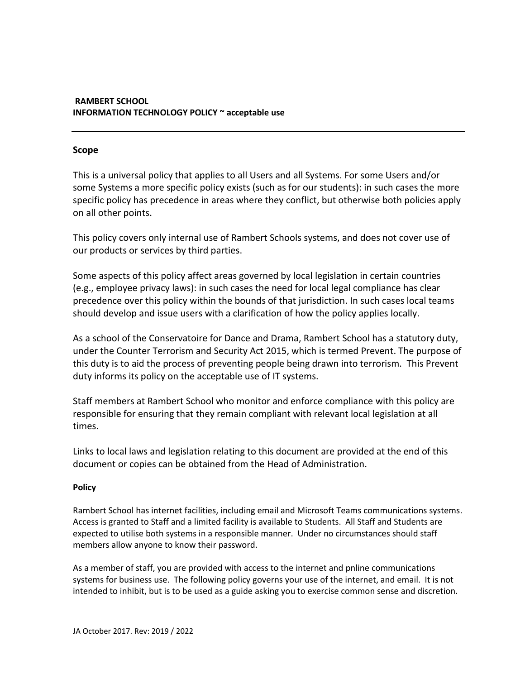# **RAMBERT SCHOOL INFORMATION TECHNOLOGY POLICY ~ acceptable use**

### **Scope**

This is a universal policy that applies to all Users and all Systems. For some Users and/or some Systems a more specific policy exists (such as for our students): in such cases the more specific policy has precedence in areas where they conflict, but otherwise both policies apply on all other points.

This policy covers only internal use of Rambert Schools systems, and does not cover use of our products or services by third parties.

Some aspects of this policy affect areas governed by local legislation in certain countries (e.g., employee privacy laws): in such cases the need for local legal compliance has clear precedence over this policy within the bounds of that jurisdiction. In such cases local teams should develop and issue users with a clarification of how the policy applies locally.

As a school of the Conservatoire for Dance and Drama, Rambert School has a statutory duty, under the Counter Terrorism and Security Act 2015, which is termed Prevent. The purpose of this duty is to aid the process of preventing people being drawn into terrorism. This Prevent duty informs its policy on the acceptable use of IT systems.

Staff members at Rambert School who monitor and enforce compliance with this policy are responsible for ensuring that they remain compliant with relevant local legislation at all times.

Links to local laws and legislation relating to this document are provided at the end of this document or copies can be obtained from the Head of Administration.

#### **Policy**

Rambert School has internet facilities, including email and Microsoft Teams communications systems. Access is granted to Staff and a limited facility is available to Students. All Staff and Students are expected to utilise both systems in a responsible manner. Under no circumstances should staff members allow anyone to know their password.

As a member of staff, you are provided with access to the internet and pnline communications systems for business use. The following policy governs your use of the internet, and email. It is not intended to inhibit, but is to be used as a guide asking you to exercise common sense and discretion.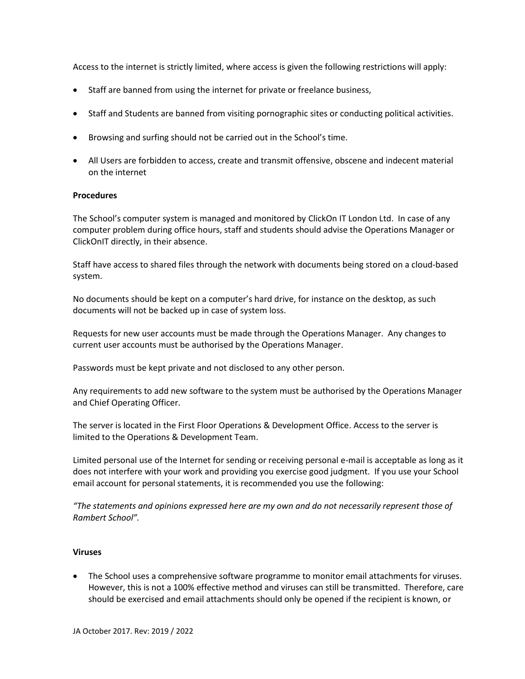Access to the internet is strictly limited, where access is given the following restrictions will apply:

- Staff are banned from using the internet for private or freelance business,
- Staff and Students are banned from visiting pornographic sites or conducting political activities.
- Browsing and surfing should not be carried out in the School's time.
- All Users are forbidden to access, create and transmit offensive, obscene and indecent material on the internet

## **Procedures**

The School's computer system is managed and monitored by ClickOn IT London Ltd. In case of any computer problem during office hours, staff and students should advise the Operations Manager or ClickOnIT directly, in their absence.

Staff have access to shared files through the network with documents being stored on a cloud-based system.

No documents should be kept on a computer's hard drive, for instance on the desktop, as such documents will not be backed up in case of system loss.

Requests for new user accounts must be made through the Operations Manager. Any changes to current user accounts must be authorised by the Operations Manager.

Passwords must be kept private and not disclosed to any other person.

Any requirements to add new software to the system must be authorised by the Operations Manager and Chief Operating Officer.

The server is located in the First Floor Operations & Development Office. Access to the server is limited to the Operations & Development Team.

Limited personal use of the Internet for sending or receiving personal e-mail is acceptable as long as it does not interfere with your work and providing you exercise good judgment. If you use your School email account for personal statements, it is recommended you use the following:

*"The statements and opinions expressed here are my own and do not necessarily represent those of Rambert School".*

#### **Viruses**

• The School uses a comprehensive software programme to monitor email attachments for viruses. However, this is not a 100% effective method and viruses can still be transmitted. Therefore, care should be exercised and email attachments should only be opened if the recipient is known, or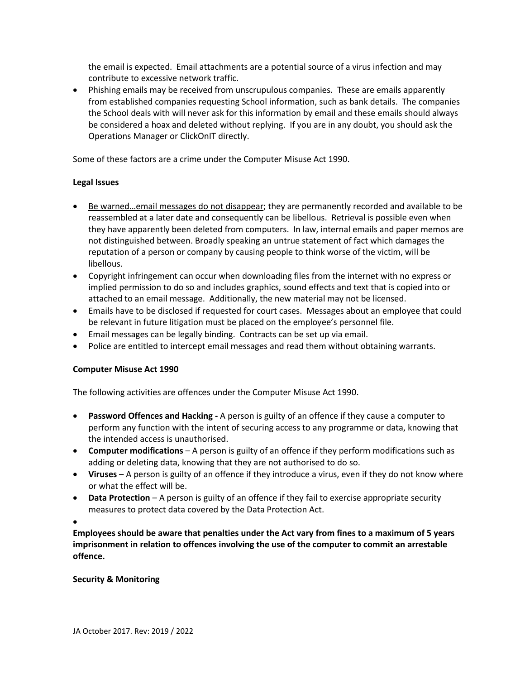the email is expected. Email attachments are a potential source of a virus infection and may contribute to excessive network traffic.

• Phishing emails may be received from unscrupulous companies. These are emails apparently from established companies requesting School information, such as bank details. The companies the School deals with will never ask for this information by email and these emails should always be considered a hoax and deleted without replying. If you are in any doubt, you should ask the Operations Manager or ClickOnIT directly.

Some of these factors are a crime under the Computer Misuse Act 1990.

## **Legal Issues**

- Be warned…email messages do not disappear; they are permanently recorded and available to be reassembled at a later date and consequently can be libellous. Retrieval is possible even when they have apparently been deleted from computers. In law, internal emails and paper memos are not distinguished between. Broadly speaking an untrue statement of fact which damages the reputation of a person or company by causing people to think worse of the victim, will be libellous.
- Copyright infringement can occur when downloading files from the internet with no express or implied permission to do so and includes graphics, sound effects and text that is copied into or attached to an email message. Additionally, the new material may not be licensed.
- Emails have to be disclosed if requested for court cases. Messages about an employee that could be relevant in future litigation must be placed on the employee's personnel file.
- Email messages can be legally binding. Contracts can be set up via email.
- Police are entitled to intercept email messages and read them without obtaining warrants.

#### **Computer Misuse Act 1990**

The following activities are offences under the Computer Misuse Act 1990.

- **Password Offences and Hacking -** A person is guilty of an offence if they cause a computer to perform any function with the intent of securing access to any programme or data, knowing that the intended access is unauthorised.
- **Computer modifications** A person is guilty of an offence if they perform modifications such as adding or deleting data, knowing that they are not authorised to do so.
- **Viruses**  A person is guilty of an offence if they introduce a virus, even if they do not know where or what the effect will be.
- **Data Protection** A person is guilty of an offence if they fail to exercise appropriate security measures to protect data covered by the Data Protection Act.

•

**Employees should be aware that penalties under the Act vary from fines to a maximum of 5 years imprisonment in relation to offences involving the use of the computer to commit an arrestable offence.**

#### **Security & Monitoring**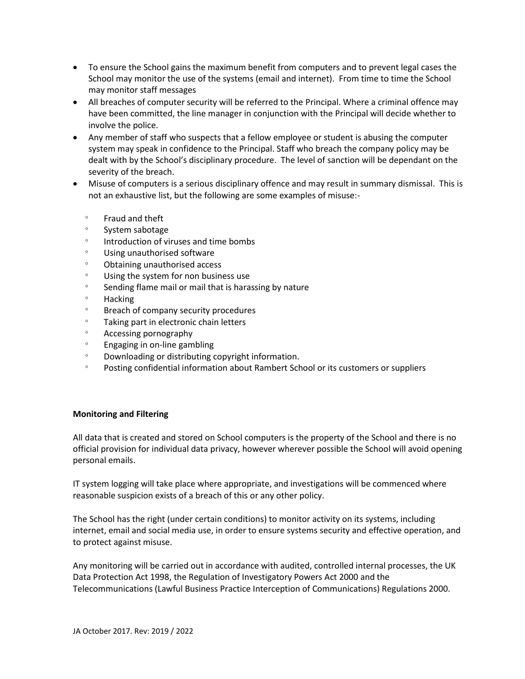- To ensure the School gains the maximum benefit from computers and to prevent legal cases the School may monitor the use of the systems (email and internet). From time to time the School may monitor staff messages
- All breaches of computer security will be referred to the Principal. Where a criminal offence may have been committed, the line manager in conjunction with the Principal will decide whether to involve the police.
- Any member of staff who suspects that a fellow employee or student is abusing the computer system may speak in confidence to the Principal. Staff who breach the company policy may be dealt with by the School's disciplinary procedure. The level of sanction will be dependant on the severity of the breach.
- Misuse of computers is a serious disciplinary offence and may result in summary dismissal. This is not an exhaustive list, but the following are some examples of misuse:-
	- $\degree$  Fraud and theft
	- **System sabotage**
	- Introduction of viruses and time bombs
	- Using unauthorised software
	- Obtaining unauthorised access
	- Using the system for non business use
	- <sup>o</sup> Sending flame mail or mail that is harassing by nature
	- Hacking
	- Breach of company security procedures
	- Taking part in electronic chain letters
	- Accessing pornography
	- $\degree$  Engaging in on-line gambling
	- Downloading or distributing copyright information.
	- <sup>o</sup> Posting confidential information about Rambert School or its customers or suppliers

#### **Monitoring and Filtering**

All data that is created and stored on School computers is the property of the School and there is no official provision for individual data privacy, however wherever possible the School will avoid opening personal emails.

IT system logging will take place where appropriate, and investigations will be commenced where reasonable suspicion exists of a breach of this or any other policy.

The School has the right (under certain conditions) to monitor activity on its systems, including internet, email and social media use, in order to ensure systems security and effective operation, and to protect against misuse.

Any monitoring will be carried out in accordance with audited, controlled internal processes, the UK Data Protection Act 1998, the Regulation of Investigatory Powers Act 2000 and the Telecommunications (Lawful Business Practice Interception of Communications) Regulations 2000.